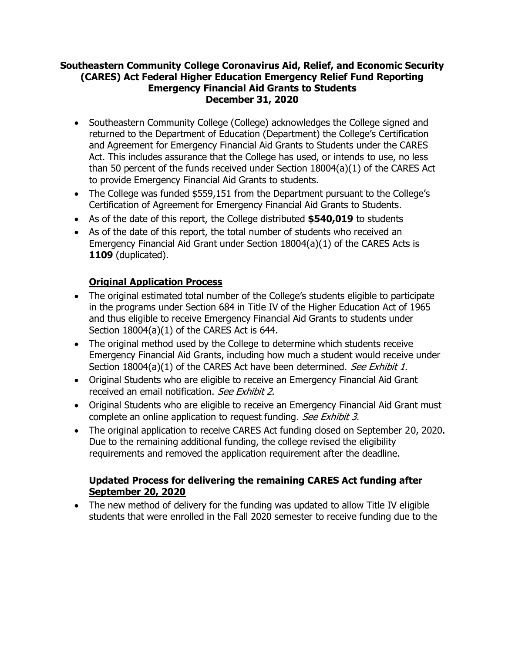# **Southeastern Community College Coronavirus Aid, Relief, and Economic Security (CARES) Act Federal Higher Education Emergency Relief Fund Reporting Emergency Financial Aid Grants to Students December 31, 2020**

- Southeastern Community College (College) acknowledges the College signed and returned to the Department of Education (Department) the College's Certification and Agreement for Emergency Financial Aid Grants to Students under the CARES Act. This includes assurance that the College has used, or intends to use, no less than 50 percent of the funds received under Section 18004(a)(1) of the CARES Act to provide Emergency Financial Aid Grants to students.
- The College was funded \$559,151 from the Department pursuant to the College's Certification of Agreement for Emergency Financial Aid Grants to Students.
- As of the date of this report, the College distributed **\$540,019** to students
- As of the date of this report, the total number of students who received an Emergency Financial Aid Grant under Section 18004(a)(1) of the CARES Acts is **1109** (duplicated).

# **Original Application Process**

- The original estimated total number of the College's students eligible to participate in the programs under Section 684 in Title IV of the Higher Education Act of 1965 and thus eligible to receive Emergency Financial Aid Grants to students under Section 18004(a)(1) of the CARES Act is 644.
- The original method used by the College to determine which students receive Emergency Financial Aid Grants, including how much a student would receive under Section 18004(a)(1) of the CARES Act have been determined. See Exhibit 1.
- Original Students who are eligible to receive an Emergency Financial Aid Grant received an email notification. See Exhibit 2.
- Original Students who are eligible to receive an Emergency Financial Aid Grant must complete an online application to request funding. See Exhibit 3.
- The original application to receive CARES Act funding closed on September 20, 2020. Due to the remaining additional funding, the college revised the eligibility requirements and removed the application requirement after the deadline.

# **Updated Process for delivering the remaining CARES Act funding after September 20, 2020**

• The new method of delivery for the funding was updated to allow Title IV eligible students that were enrolled in the Fall 2020 semester to receive funding due to the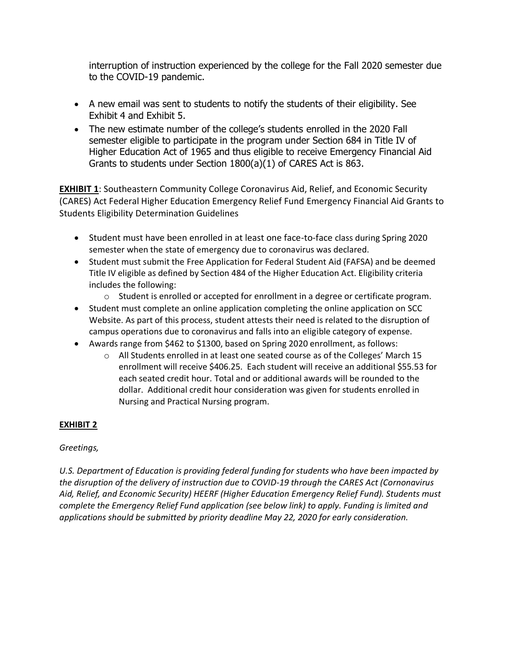interruption of instruction experienced by the college for the Fall 2020 semester due to the COVID-19 pandemic.

- A new email was sent to students to notify the students of their eligibility. See Exhibit 4 and Exhibit 5.
- The new estimate number of the college's students enrolled in the 2020 Fall semester eligible to participate in the program under Section 684 in Title IV of Higher Education Act of 1965 and thus eligible to receive Emergency Financial Aid Grants to students under Section 1800(a)(1) of CARES Act is 863.

**EXHIBIT 1**: Southeastern Community College Coronavirus Aid, Relief, and Economic Security (CARES) Act Federal Higher Education Emergency Relief Fund Emergency Financial Aid Grants to Students Eligibility Determination Guidelines

- Student must have been enrolled in at least one face-to-face class during Spring 2020 semester when the state of emergency due to coronavirus was declared.
- Student must submit the Free Application for Federal Student Aid (FAFSA) and be deemed Title IV eligible as defined by Section 484 of the Higher Education Act. Eligibility criteria includes the following:
	- $\circ$  Student is enrolled or accepted for enrollment in a degree or certificate program.
- Student must complete an online application completing the online application on SCC Website. As part of this process, student attests their need is related to the disruption of campus operations due to coronavirus and falls into an eligible category of expense.
- Awards range from \$462 to \$1300, based on Spring 2020 enrollment, as follows:
	- $\circ$  All Students enrolled in at least one seated course as of the Colleges' March 15 enrollment will receive \$406.25. Each student will receive an additional \$55.53 for each seated credit hour. Total and or additional awards will be rounded to the dollar. Additional credit hour consideration was given for students enrolled in Nursing and Practical Nursing program.

## **EXHIBIT 2**

## *Greetings,*

*U.S. Department of Education is providing federal funding for students who have been impacted by the disruption of the delivery of instruction due to COVID-19 through the CARES Act (Cornonavirus Aid, Relief, and Economic Security) HEERF (Higher Education Emergency Relief Fund). Students must complete the Emergency Relief Fund application (see below link) to apply. Funding is limited and applications should be submitted by priority deadline May 22, 2020 for early consideration.*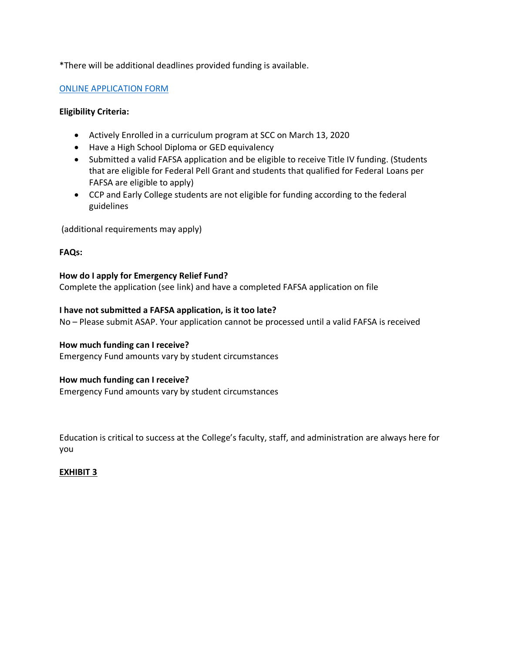\*There will be additional deadlines provided funding is available.

### [ONLINE APPLICATION FORM](https://forms.office.com/Pages/ResponsePage.aspx?id=i7Ca5K1RB0Khj5eUrXeYqJVRbq-WYEdNrvMEzZfflb5UNkNaU0VNVVE2MVlBRzJIN0tYSjRaOTFFRC4u)

### **Eligibility Criteria:**

- Actively Enrolled in a curriculum program at SCC on March 13, 2020
- Have a High School Diploma or GED equivalency
- Submitted a valid FAFSA application and be eligible to receive Title IV funding. (Students that are eligible for Federal Pell Grant and students that qualified for Federal Loans per FAFSA are eligible to apply)
- CCP and Early College students are not eligible for funding according to the federal guidelines

(additional requirements may apply)

### **FAQs:**

#### **How do I apply for Emergency Relief Fund?**

Complete the application (see link) and have a completed FAFSA application on file

### **I have not submitted a FAFSA application, is it too late?**

No – Please submit ASAP. Your application cannot be processed until a valid FAFSA is received

#### **How much funding can I receive?**

Emergency Fund amounts vary by student circumstances

### **How much funding can I receive?**

Emergency Fund amounts vary by student circumstances

Education is critical to success at the College's faculty, staff, and administration are always here for you

#### **EXHIBIT 3**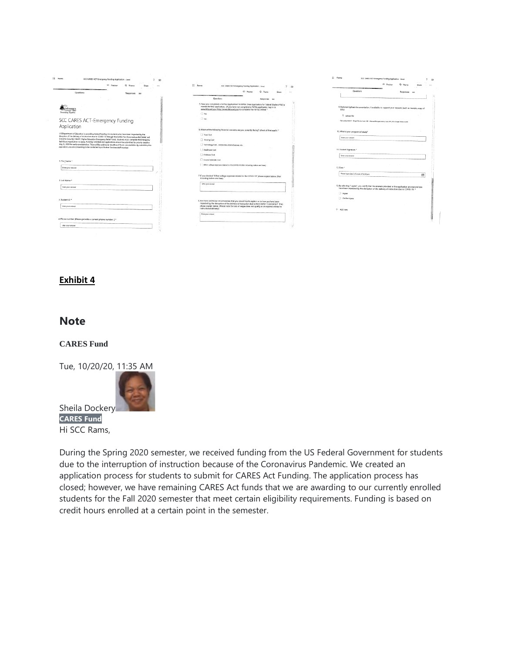|                                                                                                                                                                                                                                                                                                                                                                                                                                                                                                                                                          |                                                                                                                                                                                                                                                                           | @ Preview<br>C Theme                                                                                         |
|----------------------------------------------------------------------------------------------------------------------------------------------------------------------------------------------------------------------------------------------------------------------------------------------------------------------------------------------------------------------------------------------------------------------------------------------------------------------------------------------------------------------------------------------------------|---------------------------------------------------------------------------------------------------------------------------------------------------------------------------------------------------------------------------------------------------------------------------|--------------------------------------------------------------------------------------------------------------|
| <sup>o</sup> Preview<br><b>9</b> Theme<br>Share                                                                                                                                                                                                                                                                                                                                                                                                                                                                                                          | <b>III</b> Farms<br>SCC CARES ACT-Emergency Funding Application - tweet<br>$\sim$<br>SD                                                                                                                                                                                   | Share.                                                                                                       |
| Questions<br>Responses sys                                                                                                                                                                                                                                                                                                                                                                                                                                                                                                                               | <sup>C</sup> Province<br>٠<br>Theire<br>Shann<br>44.                                                                                                                                                                                                                      | Questions<br>Responses an                                                                                    |
|                                                                                                                                                                                                                                                                                                                                                                                                                                                                                                                                                          | Questions<br>Responses are                                                                                                                                                                                                                                                |                                                                                                              |
| ouhoosen<br>Successing Tigether                                                                                                                                                                                                                                                                                                                                                                                                                                                                                                                          | 5. Have you completed a FAFSA Application? A FAFSA (Free Application for Federal Student Aid) is<br>needed for this application. (If you have not completed a FAFSA application, log in to<br>www.fatsa.ed.gov.thttp://www.fatsa.ed.gov/; to complete the FAFSA online) * | 9. Optional-Upload documentation, if available, to support your request. (such as receipts, copy of<br>Niko  |
|                                                                                                                                                                                                                                                                                                                                                                                                                                                                                                                                                          | $O$ Yes                                                                                                                                                                                                                                                                   | <sup>7</sup> Upload file                                                                                     |
| SCC CARES ACT-Emergency Funding                                                                                                                                                                                                                                                                                                                                                                                                                                                                                                                          | 7.86                                                                                                                                                                                                                                                                      | Re number limit 1 Single file size limit 100 . Allowed file types Word, Ecol, PPT, RSF, Image, Writes, Audio |
| Application<br>U.S. Department of Education is providing federal funding for students who have been impacted by the                                                                                                                                                                                                                                                                                                                                                                                                                                      | 6. Which of the following financial concerns are you currently facing? (check all that apply). *<br><b>D</b> Food Cost                                                                                                                                                    | 10. What is your program of study?                                                                           |
| disruption of the delivery of instruction due to COVID-19 through the CARES Act (Coronavirus Aid, Raliaf, and<br>Economic Security) HEERF (Higher Education Emergency Rullef Fund). Students must complete the Emergency<br>Relief Fund Application to apply. Funding is limited and applications should be submitted by priority deadline<br>May 22, 2020 for early consideration. There will be additional deadlines if funds are available. By submitting this<br>application, you are consenting to be contacted by a Student Services staff member. | Housing Cost                                                                                                                                                                                                                                                              | <b><i><u>Enter your answer</u></i></b>                                                                       |
|                                                                                                                                                                                                                                                                                                                                                                                                                                                                                                                                                          | Technology Cost - computers, internet access, etc.                                                                                                                                                                                                                        |                                                                                                              |
|                                                                                                                                                                                                                                                                                                                                                                                                                                                                                                                                                          | Healthcare Cost                                                                                                                                                                                                                                                           | 11. Student Signature *                                                                                      |
|                                                                                                                                                                                                                                                                                                                                                                                                                                                                                                                                                          | Children Coat                                                                                                                                                                                                                                                             | <b><i><u>Driver your assumer</u></i></b>                                                                     |
| 1. First Name *                                                                                                                                                                                                                                                                                                                                                                                                                                                                                                                                          | Course Materials Cost                                                                                                                                                                                                                                                     |                                                                                                              |
| Enter your answer                                                                                                                                                                                                                                                                                                                                                                                                                                                                                                                                        | Direct college expenses related to the COVID-19 (Not including takion and fees)                                                                                                                                                                                           | 12. Date *                                                                                                   |
| 2. Last Name *                                                                                                                                                                                                                                                                                                                                                                                                                                                                                                                                           | 7. If you checked "Other college expenses related to the COVID-19" please explain below. (Not<br>Including tuition and fees!                                                                                                                                              | Please input data in format of MAS/yyyy<br>曲                                                                 |
| Enter your annumer                                                                                                                                                                                                                                                                                                                                                                                                                                                                                                                                       | <b>Greenpar answer</b>                                                                                                                                                                                                                                                    | 13. By selecting 1 agree", you certify that the answers provided in this application are true and you        |
|                                                                                                                                                                                                                                                                                                                                                                                                                                                                                                                                                          |                                                                                                                                                                                                                                                                           | have been impacted by the disruption of the delivery of instruction due to COVID-19. *<br>C 1 Agree          |
| 3. Student ID *                                                                                                                                                                                                                                                                                                                                                                                                                                                                                                                                          | 8. Are there additional circumstances that you would like to explain as to how you have been                                                                                                                                                                              | 1 Do Not Agree                                                                                               |
| <b>Enter your aniseer</b>                                                                                                                                                                                                                                                                                                                                                                                                                                                                                                                                | impacted by the disruption of the delivery of instruction due to the COVID-19 pandemic? If so.<br>please explain below. (Please note the loss of wages does not qualify as an expense related to                                                                          |                                                                                                              |
|                                                                                                                                                                                                                                                                                                                                                                                                                                                                                                                                                          | instructional delivery.)                                                                                                                                                                                                                                                  | $+$ Add new                                                                                                  |
| 4. Phone number (Please provide a current phone number.) ^                                                                                                                                                                                                                                                                                                                                                                                                                                                                                               | <b>DESTINAT STORM</b>                                                                                                                                                                                                                                                     |                                                                                                              |
| Enter your anguer                                                                                                                                                                                                                                                                                                                                                                                                                                                                                                                                        |                                                                                                                                                                                                                                                                           |                                                                                                              |

### **Exhibit 4**

### **Note**

#### **CARES Fund**

Tue, 10/20/20, 11:35 AM



Sheila Dockery **CARES Fund** Hi SCC Rams,

During the Spring 2020 semester, we received funding from the US Federal Government for students due to the interruption of instruction because of the Coronavirus Pandemic. We created an application process for students to submit for CARES Act Funding. The application process has closed; however, we have remaining CARES Act funds that we are awarding to our currently enrolled students for the Fall 2020 semester that meet certain eligibility requirements. Funding is based on credit hours enrolled at a certain point in the semester.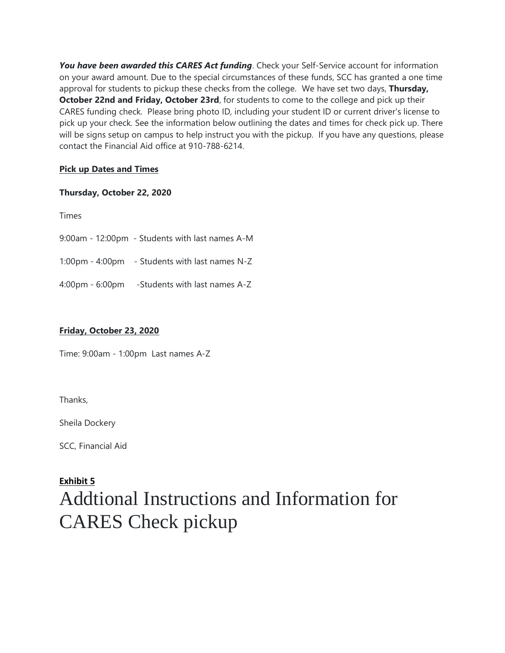*You have been awarded this CARES Act funding*. Check your Self-Service account for information on your award amount. Due to the special circumstances of these funds, SCC has granted a one time approval for students to pickup these checks from the college. We have set two days, **Thursday, October 22nd and Friday, October 23rd**, for students to come to the college and pick up their CARES funding check. Please bring photo ID, including your student ID or current driver's license to pick up your check. See the information below outlining the dates and times for check pick up. There will be signs setup on campus to help instruct you with the pickup. If you have any questions, please contact the Financial Aid office at 910-788-6214.

## **Pick up Dates and Times**

## **Thursday, October 22, 2020**

Times

9:00am - 12:00pm - Students with last names A-M

1:00pm - 4:00pm - Students with last names N-Z

4:00pm - 6:00pm -Students with last names A-Z

# **Friday, October 23, 2020**

Time: 9:00am - 1:00pm Last names A-Z

Thanks,

Sheila Dockery

SCC, Financial Aid

# **Exhibit 5**

Addtional Instructions and Information for CARES Check pickup